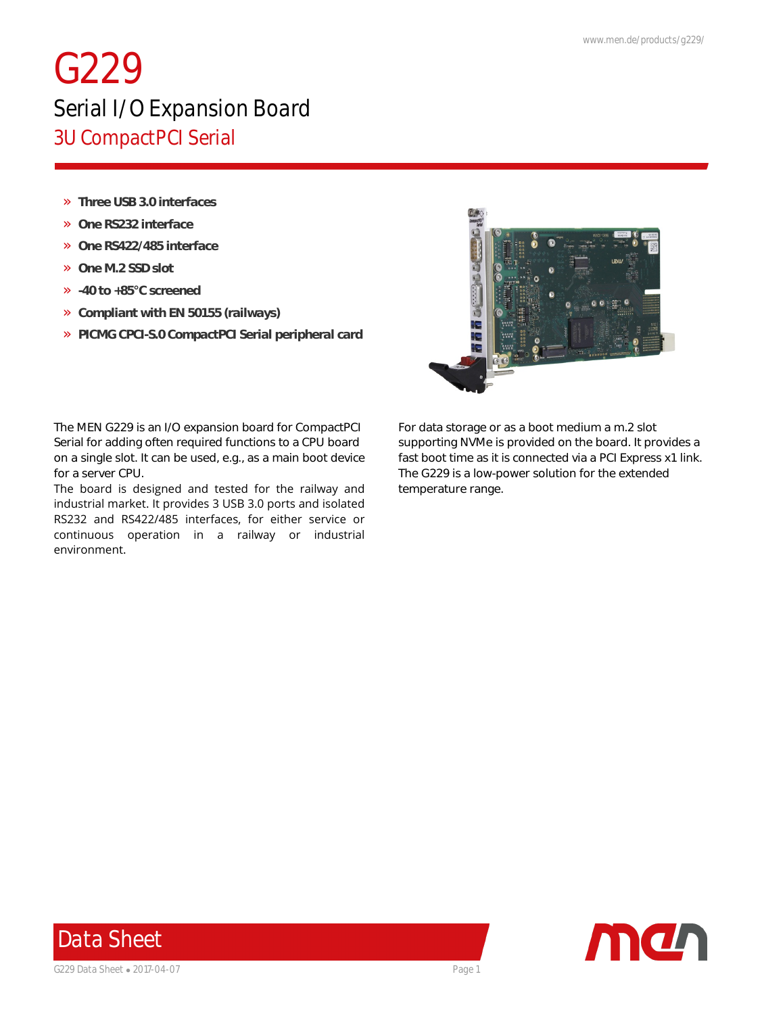# *G229 Serial I/O Expansion Board 3U CompactPCI Serial*

- » *Three USB 3.0 interfaces*
- » *One RS232 interface*
- » *One RS422/485 interface*
- » *One M.2 SSD slot*
- » *-40 to +85°C screened*
- » *Compliant with EN 50155 (railways)*
- » *PICMG CPCI-S.0 CompactPCI Serial peripheral card*



The MEN G229 is an I/O expansion board for CompactPCI Serial for adding often required functions to a CPU board on a single slot. It can be used, e.g., as a main boot device for a server CPU.

The board is designed and tested for the railway and industrial market. It provides 3 USB 3.0 ports and isolated RS232 and RS422/485 interfaces, for either service or continuous operation in a railway or industrial environment.

For data storage or as a boot medium a m.2 slot supporting NVMe is provided on the board. It provides a fast boot time as it is connected via a PCI Express x1 link. The G229 is a low-power solution for the extended temperature range.



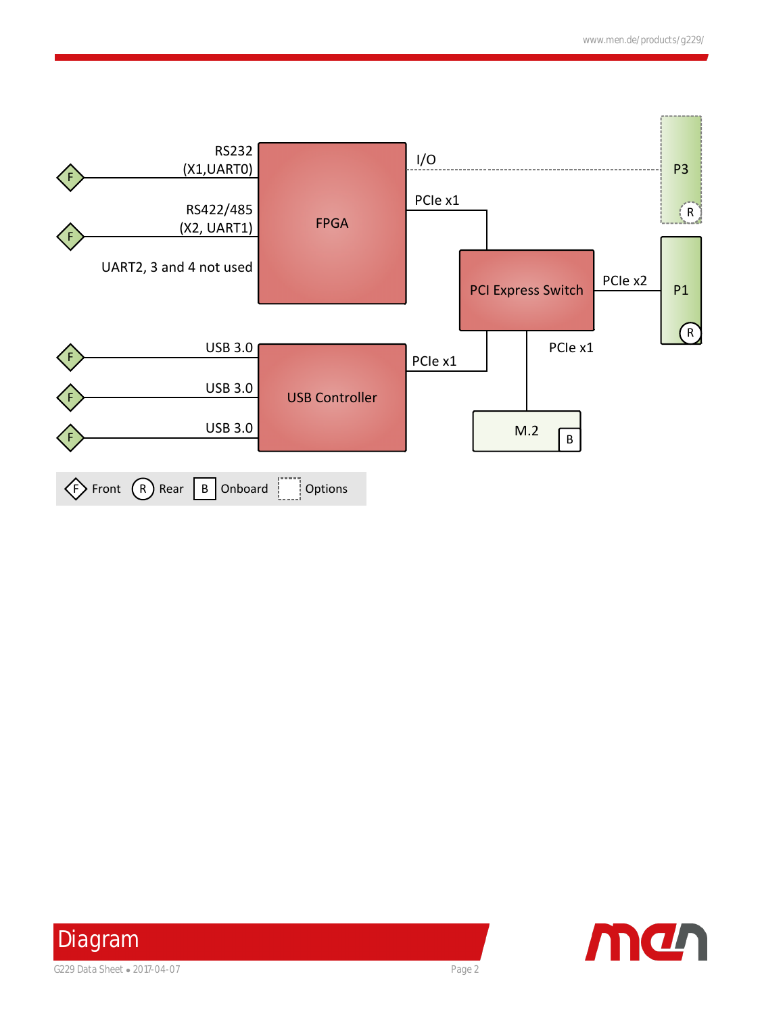



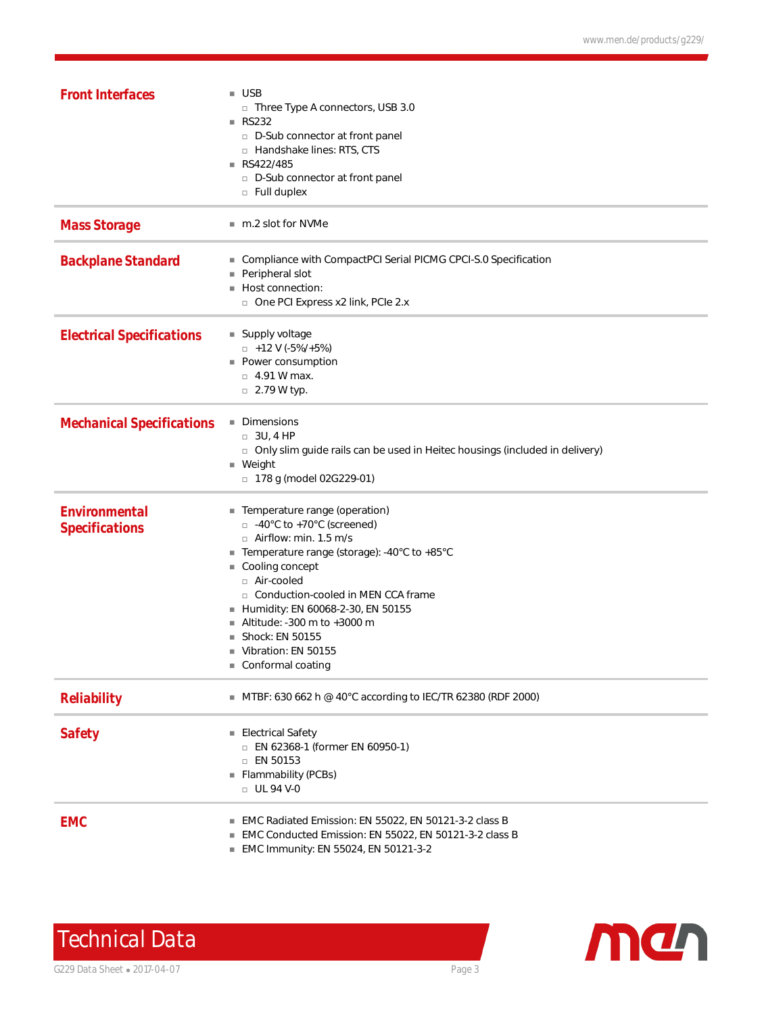| <b>Front Interfaces</b>                       | $\blacksquare$ USB<br>□ Three Type A connectors, USB 3.0<br>■ RS232<br>□ D-Sub connector at front panel<br>□ Handshake lines: RTS, CTS<br>■ RS422/485<br>□ D-Sub connector at front panel<br>$\Box$ Full duplex                                                                                                                                                                  |
|-----------------------------------------------|----------------------------------------------------------------------------------------------------------------------------------------------------------------------------------------------------------------------------------------------------------------------------------------------------------------------------------------------------------------------------------|
| <b>Mass Storage</b>                           | ■ m.2 slot for NVMe                                                                                                                                                                                                                                                                                                                                                              |
| <b>Backplane Standard</b>                     | Compliance with CompactPCI Serial PICMG CPCI-S.0 Specification<br>Peripheral slot<br>Host connection:<br>m.<br>□ One PCI Express x2 link, PCIe 2.x                                                                                                                                                                                                                               |
| <b>Electrical Specifications</b>              | ■ Supply voltage<br>$\Box$ +12 V (-5%/+5%)<br>Power consumption<br>$\Box$ 4.91 W max.<br>$\Box$ 2.79 W typ.                                                                                                                                                                                                                                                                      |
| <b>Mechanical Specifications</b>              | Dimensions<br>$\Box$ 3U, 4 HP<br>□ Only slim guide rails can be used in Heitec housings (included in delivery)<br>$\blacksquare$ Weight<br>□ 178 g (model 02G229-01)                                                                                                                                                                                                             |
| <b>Environmental</b><br><b>Specifications</b> | Temperature range (operation)<br><b>COL</b><br>$\Box$ -40°C to +70°C (screened)<br>$\Box$ Airflow: min. 1.5 m/s<br>■ Temperature range (storage): -40°C to +85°C<br>Cooling concept<br>□ Air-cooled<br>□ Conduction-cooled in MEN CCA frame<br>Humidity: EN 60068-2-30, EN 50155<br>Altitude: -300 m to +3000 m<br>■ Shock: EN 50155<br>Vibration: EN 50155<br>Conformal coating |
| <b>Reliability</b>                            | ■ MTBF: 630 662 h @ 40°C according to IEC/TR 62380 (RDF 2000)                                                                                                                                                                                                                                                                                                                    |
| <b>Safety</b>                                 | ■ Electrical Safety<br>$\Box$ EN 62368-1 (former EN 60950-1)<br>$\Box$ EN 50153<br>Flammability (PCBs)<br>$\Box$ UL 94 V-0                                                                                                                                                                                                                                                       |
| <b>EMC</b>                                    | EMC Radiated Emission: EN 55022, EN 50121-3-2 class B<br>EMC Conducted Emission: EN 55022, EN 50121-3-2 class B<br>EMC Immunity: EN 55024, EN 50121-3-2                                                                                                                                                                                                                          |



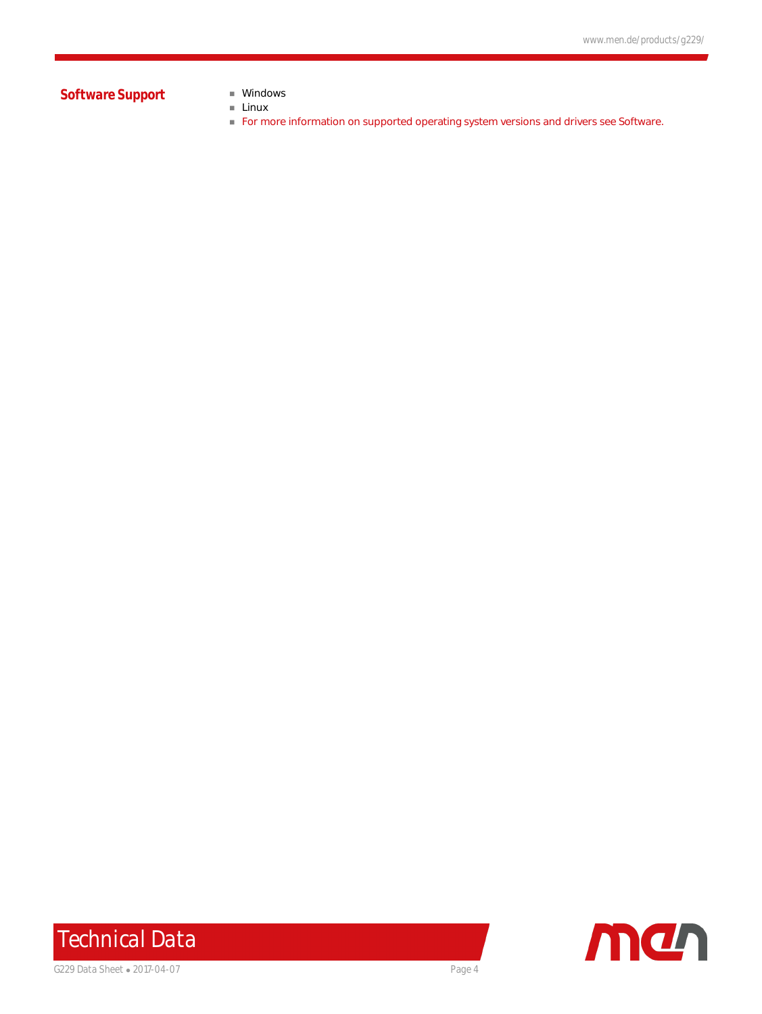# **Software Support No. 1976** Windows

- 
- $\blacksquare$  Linux
- n [For more information on supported operating system versions and drivers see Software.](https://www.men.de/products/02G229-.html#downl)